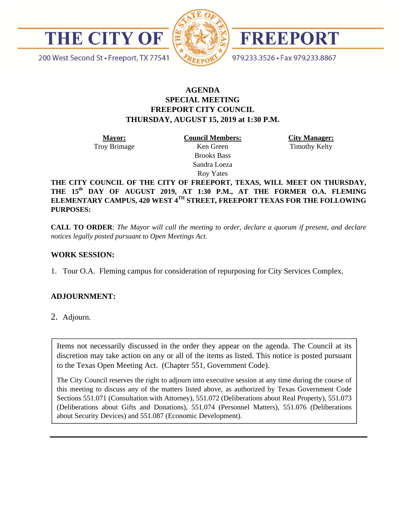



FREEPORT

979.233.3526 · Fax 979.233.8867

200 West Second St · Freeport, TX 77541

## **AGENDA SPECIAL MEETING FREEPORT CITY COUNCIL THURSDAY, AUGUST 15, 2019 at 1:30 P.M.**

**Mayor:**  Troy Brimage **Council Members:**  Ken Green

**City Manager:** 

Timothy Kelty

Brooks Bass Sandra Loeza Roy Yates

**THE CITY COUNCIL OF THE CITY OF FREEPORT, TEXAS, WILL MEET ON THURSDAY, THE 15th DAY OF AUGUST 2019, AT 1:30 P.M., AT THE FORMER O.A. FLEMING ELEMENTARY CAMPUS, 420 WEST 4TH STREET, FREEPORT TEXAS FOR THE FOLLOWING PURPOSES:** 

**CALL TO ORDER**: *The Mayor will call the meeting to order, declare a quorum if present, and declare notices legally posted pursuant to Open Meetings Act*.

## **WORK SESSION:**

1. Tour O.A. Fleming campus for consideration of repurposing for City Services Complex.

## **ADJOURNMENT:**

2. Adjourn.

Items not necessarily discussed in the order they appear on the agenda. The Council at its discretion may take action on any or all of the items as listed. This notice is posted pursuant to the Texas Open Meeting Act. (Chapter 551, Government Code).

The City Council reserves the right to adjourn into executive session at any time during the course of this meeting to discuss any of the matters listed above, as authorized by Texas Government Code Sections 551.071 (Consultation with Attorney), 551.072 (Deliberations about Real Property), 551.073 (Deliberations about Gifts and Donations), 551.074 (Personnel Matters), 551.076 (Deliberations about Security Devices) and 551.087 (Economic Development).